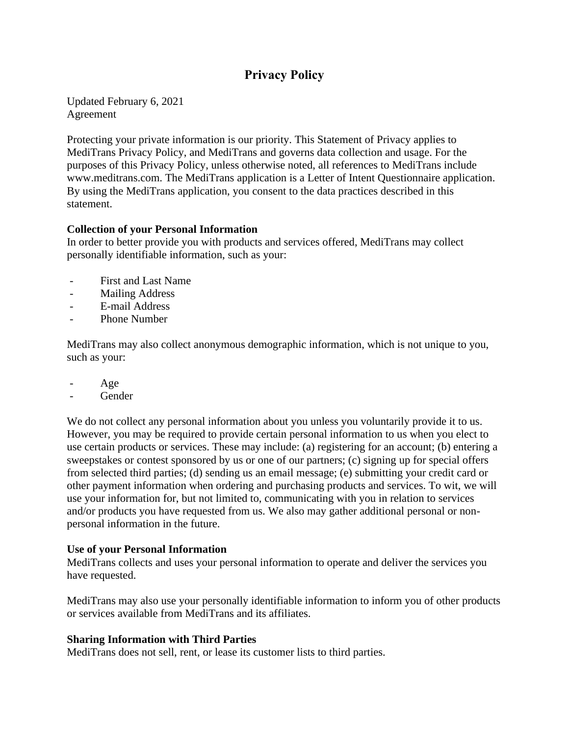# **Privacy Policy**

Updated February 6, 2021 Agreement

Protecting your private information is our priority. This Statement of Privacy applies to MediTrans Privacy Policy, and MediTrans and governs data collection and usage. For the purposes of this Privacy Policy, unless otherwise noted, all references to MediTrans include www.meditrans.com. The MediTrans application is a Letter of Intent Questionnaire application. By using the MediTrans application, you consent to the data practices described in this statement.

### **Collection of your Personal Information**

In order to better provide you with products and services offered, MediTrans may collect personally identifiable information, such as your:

- First and Last Name
- Mailing Address
- E-mail Address
- Phone Number

MediTrans may also collect anonymous demographic information, which is not unique to you, such as your:

- Age
- Gender

We do not collect any personal information about you unless you voluntarily provide it to us. However, you may be required to provide certain personal information to us when you elect to use certain products or services. These may include: (a) registering for an account; (b) entering a sweepstakes or contest sponsored by us or one of our partners; (c) signing up for special offers from selected third parties; (d) sending us an email message; (e) submitting your credit card or other payment information when ordering and purchasing products and services. To wit, we will use your information for, but not limited to, communicating with you in relation to services and/or products you have requested from us. We also may gather additional personal or nonpersonal information in the future.

#### **Use of your Personal Information**

MediTrans collects and uses your personal information to operate and deliver the services you have requested.

MediTrans may also use your personally identifiable information to inform you of other products or services available from MediTrans and its affiliates.

#### **Sharing Information with Third Parties**

MediTrans does not sell, rent, or lease its customer lists to third parties.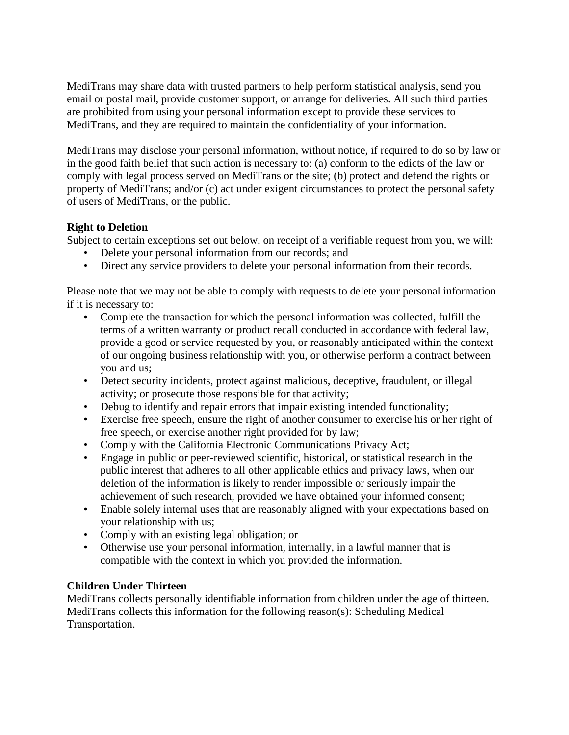MediTrans may share data with trusted partners to help perform statistical analysis, send you email or postal mail, provide customer support, or arrange for deliveries. All such third parties are prohibited from using your personal information except to provide these services to MediTrans, and they are required to maintain the confidentiality of your information.

MediTrans may disclose your personal information, without notice, if required to do so by law or in the good faith belief that such action is necessary to: (a) conform to the edicts of the law or comply with legal process served on MediTrans or the site; (b) protect and defend the rights or property of MediTrans; and/or (c) act under exigent circumstances to protect the personal safety of users of MediTrans, or the public.

# **Right to Deletion**

Subject to certain exceptions set out below, on receipt of a verifiable request from you, we will:

- Delete your personal information from our records; and
- Direct any service providers to delete your personal information from their records.

Please note that we may not be able to comply with requests to delete your personal information if it is necessary to:

- Complete the transaction for which the personal information was collected, fulfill the terms of a written warranty or product recall conducted in accordance with federal law, provide a good or service requested by you, or reasonably anticipated within the context of our ongoing business relationship with you, or otherwise perform a contract between you and us;
- Detect security incidents, protect against malicious, deceptive, fraudulent, or illegal activity; or prosecute those responsible for that activity;
- Debug to identify and repair errors that impair existing intended functionality;
- Exercise free speech, ensure the right of another consumer to exercise his or her right of free speech, or exercise another right provided for by law;
- Comply with the California Electronic Communications Privacy Act;
- Engage in public or peer-reviewed scientific, historical, or statistical research in the public interest that adheres to all other applicable ethics and privacy laws, when our deletion of the information is likely to render impossible or seriously impair the achievement of such research, provided we have obtained your informed consent;
- Enable solely internal uses that are reasonably aligned with your expectations based on your relationship with us;
- Comply with an existing legal obligation; or
- Otherwise use your personal information, internally, in a lawful manner that is compatible with the context in which you provided the information.

# **Children Under Thirteen**

MediTrans collects personally identifiable information from children under the age of thirteen. MediTrans collects this information for the following reason(s): Scheduling Medical Transportation.